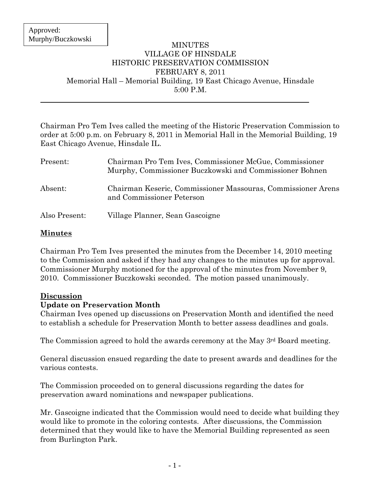#### MINUTES VILLAGE OF HINSDALE HISTORIC PRESERVATION COMMISSION FEBRUARY 8, 2011 Memorial Hall – Memorial Building, 19 East Chicago Avenue, Hinsdale 5:00 P.M.

Chairman Pro Tem Ives called the meeting of the Historic Preservation Commission to order at 5:00 p.m. on February 8, 2011 in Memorial Hall in the Memorial Building, 19 East Chicago Avenue, Hinsdale IL.

| Present:      | Chairman Pro Tem Ives, Commissioner McGue, Commissioner<br>Murphy, Commissioner Buczkowski and Commissioner Bohnen |
|---------------|--------------------------------------------------------------------------------------------------------------------|
| Absent:       | Chairman Keseric, Commissioner Massouras, Commissioner Arens<br>and Commissioner Peterson                          |
| Also Present: | Village Planner, Sean Gascoigne                                                                                    |

## **Minutes**

Chairman Pro Tem Ives presented the minutes from the December 14, 2010 meeting to the Commission and asked if they had any changes to the minutes up for approval. Commissioner Murphy motioned for the approval of the minutes from November 9, 2010. Commissioner Buczkowski seconded. The motion passed unanimously.

### **Discussion**

### **Update on Preservation Month**

Chairman Ives opened up discussions on Preservation Month and identified the need to establish a schedule for Preservation Month to better assess deadlines and goals.

The Commission agreed to hold the awards ceremony at the May 3<sup>rd</sup> Board meeting.

General discussion ensued regarding the date to present awards and deadlines for the various contests.

The Commission proceeded on to general discussions regarding the dates for preservation award nominations and newspaper publications.

Mr. Gascoigne indicated that the Commission would need to decide what building they would like to promote in the coloring contests. After discussions, the Commission determined that they would like to have the Memorial Building represented as seen from Burlington Park.